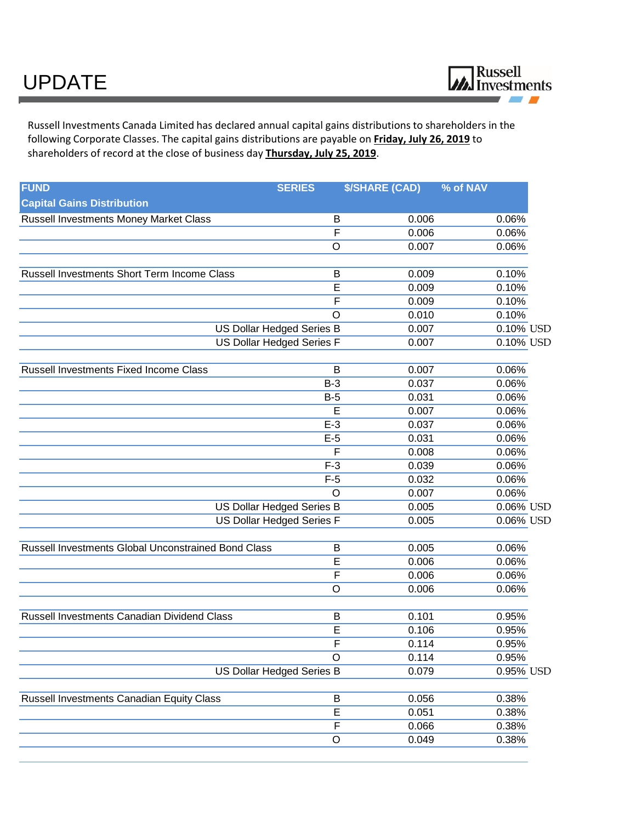Russell Investments Canada Limited has declared annual capital gains distributions to shareholders in the following Corporate Classes. The capital gains distributions are payable on **Friday, July 26, 2019** to shareholders of record at the close of business day **Thursday, July 25, 2019**.

| <b>FUND</b>                                         | <b>SERIES</b>                    | <b>\$/SHARE (CAD)</b> | % of NAV  |
|-----------------------------------------------------|----------------------------------|-----------------------|-----------|
| <b>Capital Gains Distribution</b>                   |                                  |                       |           |
| Russell Investments Money Market Class              | B                                | 0.006                 | 0.06%     |
|                                                     | $\overline{\mathsf{F}}$          | 0.006                 | 0.06%     |
|                                                     | $\circ$                          | 0.007                 | 0.06%     |
| Russell Investments Short Term Income Class         | B                                | 0.009                 | 0.10%     |
|                                                     | E                                | 0.009                 | 0.10%     |
|                                                     | F                                | 0.009                 | 0.10%     |
|                                                     | $\circ$                          | 0.010                 | 0.10%     |
|                                                     | <b>US Dollar Hedged Series B</b> | 0.007                 | 0.10% USD |
| US Dollar Hedged Series F                           |                                  | 0.007                 | 0.10% USD |
| Russell Investments Fixed Income Class              | B                                | 0.007                 | 0.06%     |
|                                                     | $B-3$                            | 0.037                 | 0.06%     |
|                                                     | $B-5$                            | 0.031                 | 0.06%     |
|                                                     | E                                | 0.007                 | 0.06%     |
|                                                     | $E-3$                            | 0.037                 | 0.06%     |
|                                                     | $E-5$                            | 0.031                 | 0.06%     |
|                                                     | F                                | 0.008                 | 0.06%     |
|                                                     | $F-3$                            | 0.039                 | 0.06%     |
|                                                     | $F-5$                            | 0.032                 | 0.06%     |
|                                                     | $\circ$                          | 0.007                 | 0.06%     |
|                                                     | US Dollar Hedged Series B        | 0.005                 | 0.06% USD |
| <b>US Dollar Hedged Series F</b>                    |                                  | 0.005                 | 0.06% USD |
| Russell Investments Global Unconstrained Bond Class | B                                | 0.005                 | 0.06%     |
|                                                     | E                                | 0.006                 | 0.06%     |
|                                                     | F                                | 0.006                 | 0.06%     |
|                                                     | $\circ$                          | 0.006                 | 0.06%     |
| Russell Investments Canadian Dividend Class         | B                                | 0.101                 | 0.95%     |
|                                                     | E                                | 0.106                 | 0.95%     |
|                                                     | $\overline{F}$                   | 0.114                 | 0.95%     |
|                                                     | $\circ$                          | 0.114                 | 0.95%     |
| <b>US Dollar Hedged Series B</b>                    |                                  | 0.079                 | 0.95% USD |
| Russell Investments Canadian Equity Class           | B                                | 0.056                 | 0.38%     |
|                                                     | E                                | 0.051                 | 0.38%     |
|                                                     | F                                | 0.066                 | 0.38%     |
|                                                     | $\circ$                          | 0.049                 | 0.38%     |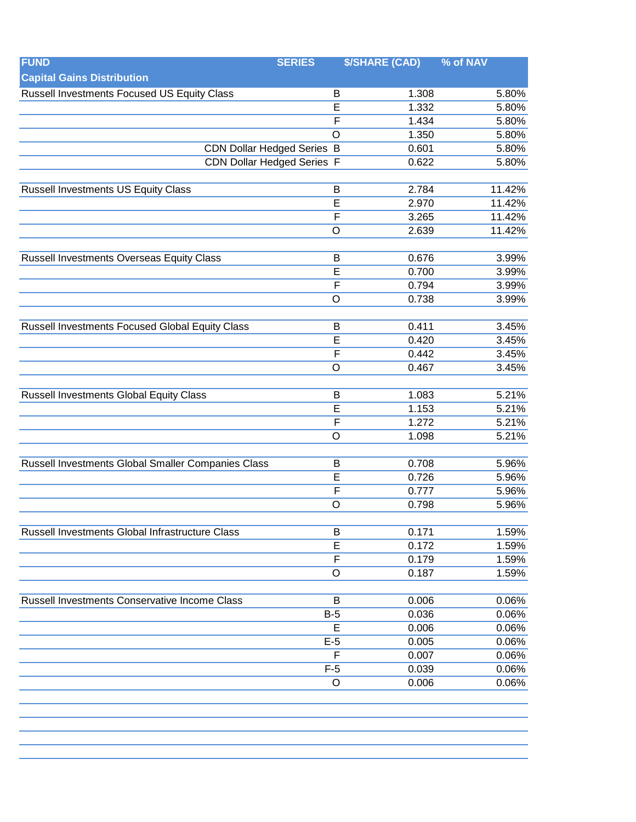| <b>FUND</b>                                        | <b>SERIES</b>           | <b>\$/SHARE (CAD)</b> | % of NAV |
|----------------------------------------------------|-------------------------|-----------------------|----------|
| <b>Capital Gains Distribution</b>                  |                         |                       |          |
| Russell Investments Focused US Equity Class        | B                       | 1.308                 | 5.80%    |
|                                                    | E                       | 1.332                 | 5.80%    |
|                                                    | $\overline{\mathsf{F}}$ | 1.434                 | 5.80%    |
|                                                    | $\overline{O}$          | 1.350                 | 5.80%    |
| <b>CDN Dollar Hedged Series B</b>                  |                         | 0.601                 | 5.80%    |
| <b>CDN Dollar Hedged Series F</b>                  |                         | 0.622                 | 5.80%    |
|                                                    |                         |                       |          |
| <b>Russell Investments US Equity Class</b>         | B                       | 2.784                 | 11.42%   |
|                                                    | E                       | 2.970                 | 11.42%   |
|                                                    | $\overline{F}$          | 3.265                 | 11.42%   |
|                                                    | $\circ$                 | 2.639                 | 11.42%   |
|                                                    |                         |                       |          |
| Russell Investments Overseas Equity Class          | B                       | 0.676                 | 3.99%    |
|                                                    | $\overline{\mathsf{E}}$ | 0.700                 | 3.99%    |
|                                                    | $\overline{F}$          | 0.794                 | 3.99%    |
|                                                    | $\circ$                 | 0.738                 | 3.99%    |
|                                                    |                         |                       |          |
| Russell Investments Focused Global Equity Class    | B                       | 0.411                 | 3.45%    |
|                                                    | E                       | 0.420                 | 3.45%    |
|                                                    | $\overline{F}$          | 0.442                 | 3.45%    |
|                                                    | $\circ$                 | 0.467                 | 3.45%    |
|                                                    |                         |                       |          |
| <b>Russell Investments Global Equity Class</b>     | B                       | 1.083                 | 5.21%    |
|                                                    | $\overline{E}$          | 1.153                 | 5.21%    |
|                                                    | $\overline{F}$          | 1.272                 | 5.21%    |
|                                                    | $\circ$                 | 1.098                 | 5.21%    |
| Russell Investments Global Smaller Companies Class | B                       | 0.708                 | 5.96%    |
|                                                    | E                       | 0.726                 | 5.96%    |
|                                                    | $\overline{F}$          | 0.777                 | 5.96%    |
|                                                    | $\circ$                 | 0.798                 | 5.96%    |
|                                                    |                         |                       |          |
| Russell Investments Global Infrastructure Class    | B                       | 0.171                 | 1.59%    |
|                                                    | E                       | 0.172                 | 1.59%    |
|                                                    | $\overline{F}$          | 0.179                 | 1.59%    |
|                                                    | O                       | 0.187                 | 1.59%    |
|                                                    |                         |                       |          |
| Russell Investments Conservative Income Class      | B                       | 0.006                 | 0.06%    |
|                                                    | $B-5$                   | 0.036                 | 0.06%    |
|                                                    | E                       | 0.006                 | 0.06%    |
|                                                    | $E-5$                   | 0.005                 | 0.06%    |
|                                                    | F                       | 0.007                 | 0.06%    |
|                                                    | $F-5$                   | 0.039                 | 0.06%    |
|                                                    | O                       | 0.006                 | 0.06%    |
|                                                    |                         |                       |          |
|                                                    |                         |                       |          |
|                                                    |                         |                       |          |
|                                                    |                         |                       |          |
|                                                    |                         |                       |          |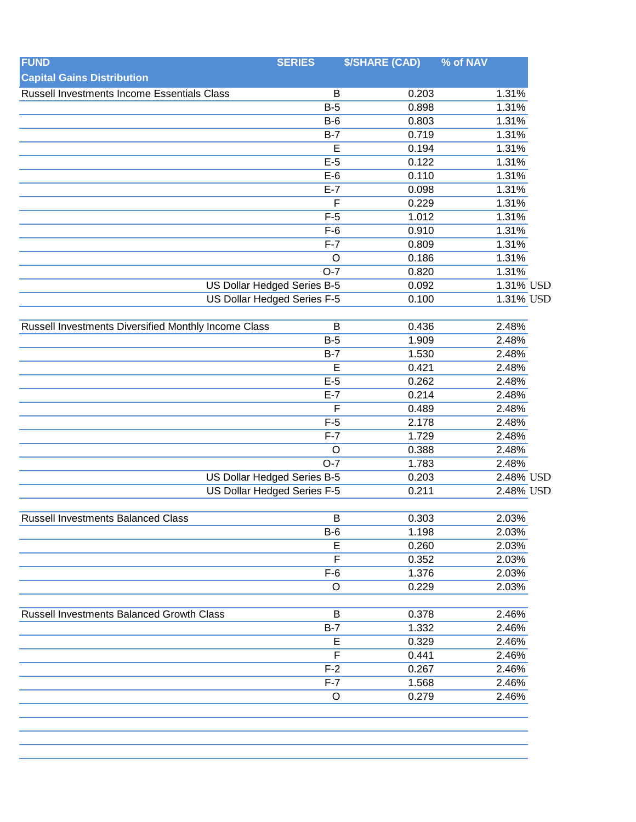| <b>FUND</b>                                          | <b>SERIES</b>               | <b>\$/SHARE (CAD)</b> | % of NAV  |
|------------------------------------------------------|-----------------------------|-----------------------|-----------|
| <b>Capital Gains Distribution</b>                    |                             |                       |           |
| Russell Investments Income Essentials Class          | B                           | 0.203                 | 1.31%     |
|                                                      | $B-5$                       | 0.898                 | 1.31%     |
|                                                      | $B-6$                       | 0.803                 | 1.31%     |
|                                                      | $B-7$                       | 0.719                 | 1.31%     |
|                                                      | E                           | 0.194                 | 1.31%     |
|                                                      | $E-5$                       | 0.122                 | 1.31%     |
|                                                      | $E-6$                       | 0.110                 | 1.31%     |
|                                                      | $E-7$                       | 0.098                 | 1.31%     |
|                                                      | F                           | 0.229                 | 1.31%     |
|                                                      | $F-5$                       | 1.012                 | 1.31%     |
|                                                      | $F-6$                       | 0.910                 | 1.31%     |
|                                                      | $F-7$                       | 0.809                 | 1.31%     |
|                                                      | $\circ$                     | 0.186                 | 1.31%     |
|                                                      | $O-7$                       | 0.820                 | 1.31%     |
|                                                      | US Dollar Hedged Series B-5 | 0.092                 | 1.31% USD |
|                                                      | US Dollar Hedged Series F-5 | 0.100                 | 1.31% USD |
|                                                      |                             |                       |           |
| Russell Investments Diversified Monthly Income Class | B                           | 0.436                 | 2.48%     |
|                                                      | $B-5$                       | 1.909                 | 2.48%     |
|                                                      | $B-7$                       | 1.530                 | 2.48%     |
|                                                      | E                           | 0.421                 | 2.48%     |
|                                                      | $E-5$                       | 0.262                 | 2.48%     |
|                                                      | $E-7$                       | 0.214                 | 2.48%     |
|                                                      | F                           | 0.489                 | 2.48%     |
|                                                      | $F-5$                       | 2.178                 | 2.48%     |
|                                                      | $F-7$                       | 1.729                 | 2.48%     |
|                                                      | O                           | 0.388                 | 2.48%     |
|                                                      | $O-7$                       | 1.783                 | 2.48%     |
| <b>US Dollar Hedged Series B-5</b>                   |                             | 0.203                 | 2.48% USD |
| US Dollar Hedged Series F-5                          |                             | 0.211                 | 2.48% USD |
|                                                      |                             |                       |           |
| <b>Russell Investments Balanced Class</b>            | $\overline{B}$              | 0.303                 | 2.03%     |
|                                                      | <b>B-6</b>                  | 1.198                 | 2.03%     |
|                                                      | E                           | 0.260                 | 2.03%     |
|                                                      | F                           | 0.352                 | 2.03%     |
|                                                      | $F-6$                       | 1.376                 | 2.03%     |
|                                                      | O                           | 0.229                 | 2.03%     |
|                                                      |                             |                       |           |
| Russell Investments Balanced Growth Class            | B                           | 0.378                 | 2.46%     |
|                                                      | $B-7$                       | 1.332                 | 2.46%     |
|                                                      | E                           | 0.329                 | 2.46%     |
|                                                      | F                           | 0.441                 | 2.46%     |
|                                                      | $F-2$                       | 0.267                 | 2.46%     |
|                                                      | $F-7$                       | 1.568                 | 2.46%     |
|                                                      | $\circ$                     | 0.279                 | 2.46%     |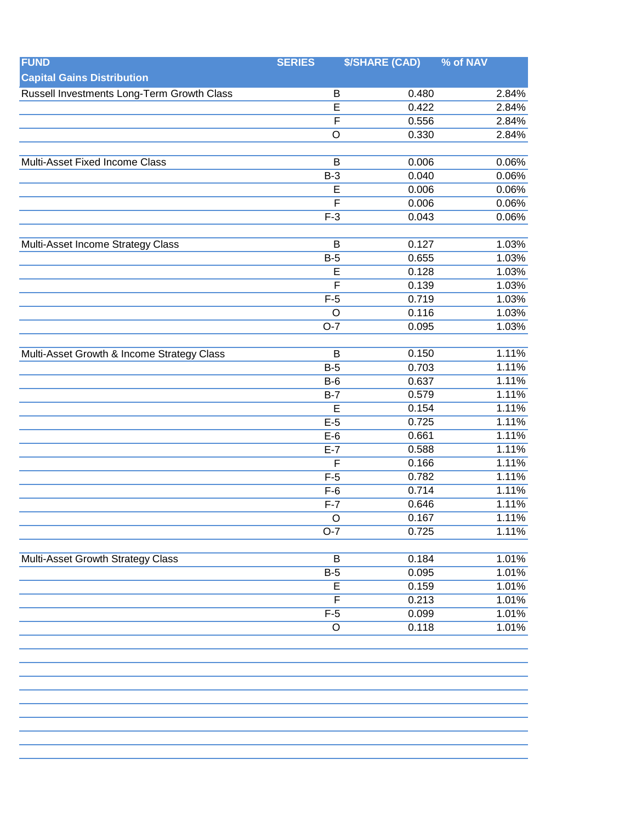| <b>FUND</b>                                | <b>SERIES</b>           | <b>\$/SHARE (CAD)</b> | % of NAV       |
|--------------------------------------------|-------------------------|-----------------------|----------------|
| <b>Capital Gains Distribution</b>          |                         |                       |                |
| Russell Investments Long-Term Growth Class | B                       | 0.480                 | 2.84%          |
|                                            | E                       | 0.422                 | 2.84%          |
|                                            | $\overline{\mathsf{F}}$ | 0.556                 | 2.84%          |
|                                            | $\overline{O}$          | 0.330                 | 2.84%          |
|                                            |                         |                       |                |
| Multi-Asset Fixed Income Class             | B                       | 0.006                 | 0.06%          |
|                                            | $B-3$                   | 0.040                 | 0.06%          |
|                                            | $\overline{E}$          | 0.006                 | 0.06%          |
|                                            | $\overline{\mathsf{F}}$ | 0.006                 | 0.06%          |
|                                            | $F-3$                   | 0.043                 | 0.06%          |
|                                            |                         |                       |                |
| Multi-Asset Income Strategy Class          | B                       | 0.127                 | 1.03%          |
|                                            | $B-5$                   | 0.655                 | 1.03%          |
|                                            | E                       | 0.128                 | 1.03%          |
|                                            | $\overline{F}$          | 0.139                 | 1.03%          |
|                                            | $F-5$                   | 0.719                 | 1.03%          |
|                                            | O                       | 0.116                 | 1.03%          |
|                                            | $O-7$                   | 0.095                 | 1.03%          |
|                                            |                         |                       |                |
| Multi-Asset Growth & Income Strategy Class | B                       | 0.150                 | 1.11%          |
|                                            | $B-5$                   | 0.703                 | 1.11%          |
|                                            | $B-6$                   | 0.637                 | 1.11%          |
|                                            | $B-7$                   | 0.579                 | 1.11%          |
|                                            | E                       | 0.154                 | 1.11%          |
|                                            | $E-5$                   | 0.725                 | 1.11%          |
|                                            | $E-6$                   | 0.661                 | 1.11%          |
|                                            | $E-7$                   | 0.588                 | 1.11%          |
|                                            | $\overline{F}$          | 0.166                 | 1.11%          |
|                                            | $F-5$                   | 0.782                 | 1.11%          |
|                                            | $F-6$                   | 0.714                 | 1.11%          |
|                                            | $F-7$                   | 0.646                 | 1.11%          |
|                                            | $\Omega$                | 0.167                 | 1.11%          |
|                                            | $O-7$                   | 0.725                 | 1.11%          |
|                                            |                         |                       |                |
| <b>Multi-Asset Growth Strategy Class</b>   | B                       | 0.184                 | 1.01%          |
|                                            | $B-5$<br>$\overline{E}$ | 0.095                 | 1.01%          |
|                                            | $\overline{\mathsf{F}}$ | 0.159<br>0.213        | 1.01%<br>1.01% |
|                                            | $F-5$                   |                       |                |
|                                            | $\circ$                 | 0.099<br>0.118        | 1.01%<br>1.01% |
|                                            |                         |                       |                |
|                                            |                         |                       |                |
|                                            |                         |                       |                |
|                                            |                         |                       |                |
|                                            |                         |                       |                |
|                                            |                         |                       |                |